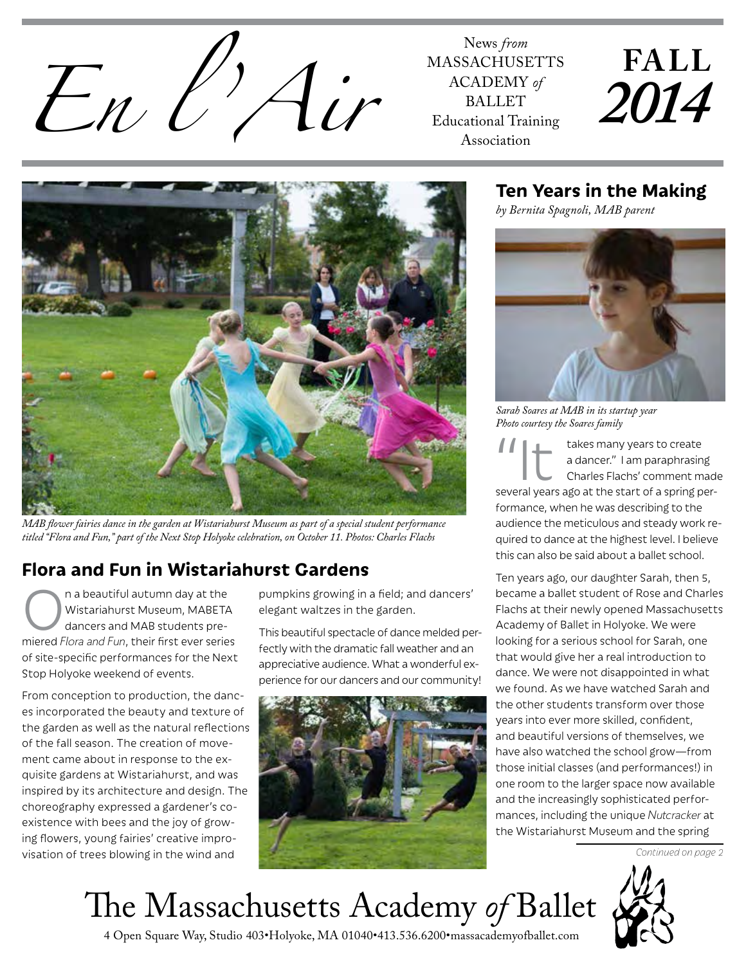

MASSACHUSETTS ACADEMY *of* BALLET Educational Training Association

# **FALL** *2014*



*MAB flower fairies dance in the garden at Wistariahurst Museum as part of a special student performance titled "Flora and Fun," part of the Next Stop Holyoke celebration, on October 11. Photos: Charles Flachs*

# **Flora and Fun in Wistariahurst Gardens**

The abeautiful autumn day at the<br>
Wistariahurst Museum, MABETA<br>
dancers and MAB students pre-Wistariahurst Museum, MABETA dancers and MAB students premiered *Flora and Fun*, their first ever series of site-specific performances for the Next Stop Holyoke weekend of events.

From conception to production, the dances incorporated the beauty and texture of the garden as well as the natural reflections of the fall season. The creation of movement came about in response to the exquisite gardens at Wistariahurst, and was inspired by its architecture and design. The choreography expressed a gardener's coexistence with bees and the joy of growing flowers, young fairies' creative improvisation of trees blowing in the wind and

pumpkins growing in a field; and dancers' elegant waltzes in the garden.

This beautiful spectacle of dance melded perfectly with the dramatic fall weather and an appreciative audience. What a wonderful experience for our dancers and our community!



## **Ten Years in the Making**

*by Bernita Spagnoli, MAB parent*



*Sarah Soares at MAB in its startup year Photo courtesy the Soares family*

takes many years to create a dancer." I am paraphrasing Charles Flachs' comment made several years ago at the start of a spring performance, when he was describing to the audience the meticulous and steady work required to dance at the highest level. I believe this can also be said about a ballet school.

Ten years ago, our daughter Sarah, then 5, became a ballet student of Rose and Charles Flachs at their newly opened Massachusetts Academy of Ballet in Holyoke. We were looking for a serious school for Sarah, one that would give her a real introduction to dance. We were not disappointed in what we found. As we have watched Sarah and the other students transform over those years into ever more skilled, confident, and beautiful versions of themselves, we have also watched the school grow—from those initial classes (and performances!) in one room to the larger space now available and the increasingly sophisticated performances, including the unique *Nutcracker* at the Wistariahurst Museum and the spring

*Continued on page 2*

The Massachusetts Academy *of* Ballet



4 Open Square Way, Studio 403•Holyoke, MA 01040•413.536.6200•massacademyofballet.com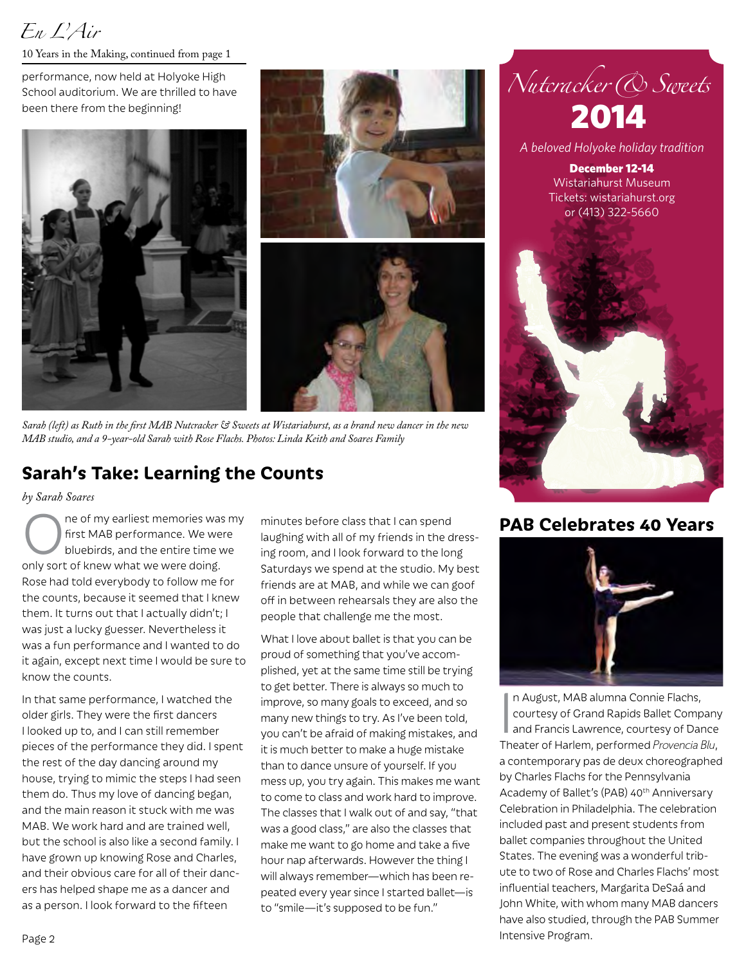# *En L'Air*

10 Years in the Making, continued from page 1

performance, now held at Holyoke High School auditorium. We are thrilled to have been there from the beginning!





*Sarah (left) as Ruth in the first MAB Nutcracker & Sweets at Wistariahurst, as a brand new dancer in the new MAB studio, and a 9-year-old Sarah with Rose Flachs. Photos: Linda Keith and Soares Family*

## **Sarah's Take: Learning the Counts**

*by Sarah Soares*

ne of my earliest memories was my first MAB performance. We were bluebirds, and the entire time we only sort of knew what we were doing. Rose had told everybody to follow me for the counts, because it seemed that I knew them. It turns out that I actually didn't; I was just a lucky guesser. Nevertheless it was a fun performance and I wanted to do it again, except next time I would be sure to know the counts.

In that same performance, I watched the older girls. They were the first dancers I looked up to, and I can still remember pieces of the performance they did. I spent the rest of the day dancing around my house, trying to mimic the steps I had seen them do. Thus my love of dancing began, and the main reason it stuck with me was MAB. We work hard and are trained well, but the school is also like a second family. I have grown up knowing Rose and Charles, and their obvious care for all of their dancers has helped shape me as a dancer and as a person. I look forward to the fifteen

minutes before class that I can spend laughing with all of my friends in the dressing room, and I look forward to the long Saturdays we spend at the studio. My best friends are at MAB, and while we can goof off in between rehearsals they are also the people that challenge me the most.

What I love about ballet is that you can be proud of something that you've accomplished, yet at the same time still be trying to get better. There is always so much to improve, so many goals to exceed, and so many new things to try. As I've been told, you can't be afraid of making mistakes, and it is much better to make a huge mistake than to dance unsure of yourself. If you mess up, you try again. This makes me want to come to class and work hard to improve. The classes that I walk out of and say, "that was a good class," are also the classes that make me want to go home and take a five hour nap afterwards. However the thing I will always remember—which has been repeated every year since I started ballet—is to "smile—it's supposed to be fun."



December 12-14 Wistariahurst Museum Tickets: wistariahurst.org or (413) 322-5660



#### **PAB Celebrates 40 Years**



In August, MAB alumna Connie Flachs,<br>courtesy of Grand Rapids Ballet Company<br>and Francis Lawrence, courtesy of Dance<br>Theater of Harlem, performed *Provencia Blu*, n August, MAB alumna Connie Flachs, courtesy of Grand Rapids Ballet Company and Francis Lawrence, courtesy of Dance a contemporary pas de deux choreographed by Charles Flachs for the Pennsylvania Academy of Ballet's (PAB) 40<sup>th</sup> Anniversary Celebration in Philadelphia. The celebration included past and present students from ballet companies throughout the United States. The evening was a wonderful tribute to two of Rose and Charles Flachs' most influential teachers, Margarita DeSaá and John White, with whom many MAB dancers have also studied, through the PAB Summer Intensive Program.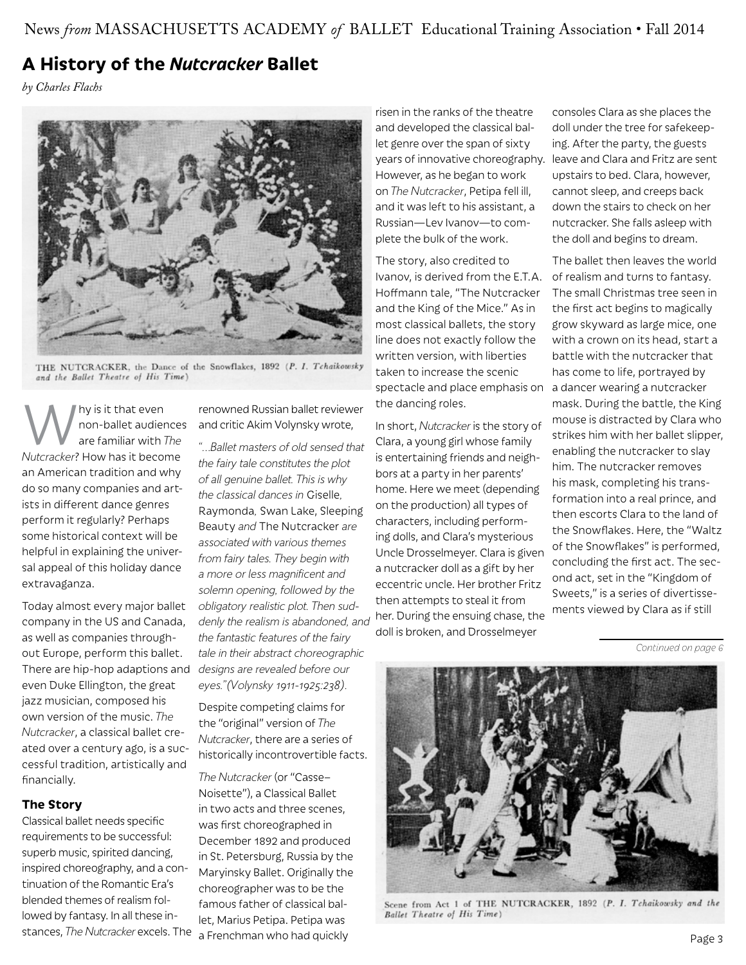## **A History of the** *Nutcracker* **Ballet**

*by Charles Flachs*



THE NUTCRACKER, the Dance of the Snowflakes, 1892 (P. I. Tchaikowsky and the Ballet Theatre of His Time)

hy is it that even non-ballet audiences are familiar with *The Nutcracker*? How has it become an American tradition and why do so many companies and artists in different dance genres perform it regularly? Perhaps some historical context will be helpful in explaining the universal appeal of this holiday dance extravaganza.

Today almost every major ballet company in the US and Canada, as well as companies throughout Europe, perform this ballet. There are hip-hop adaptions and even Duke Ellington, the great jazz musician, composed his own version of the music. *The Nutcracker*, a classical ballet created over a century ago, is a successful tradition, artistically and financially.

#### **The Story**

Classical ballet needs specific requirements to be successful: superb music, spirited dancing, inspired choreography, and a continuation of the Romantic Era's blended themes of realism followed by fantasy. In all these instances, *The Nutcracker* excels. The

renowned Russian ballet reviewer and critic Akim Volynsky wrote,

*"…Ballet masters of old sensed that the fairy tale constitutes the plot of all genuine ballet. This is why the classical dances in* Giselle*,*  Raymonda*,* Swan Lake, Sleeping Beauty *and* The Nutcracker *are associated with various themes from fairy tales. They begin with a more or less magnificent and solemn opening, followed by the obligatory realistic plot. Then suddenly the realism is abandoned, and the fantastic features of the fairy tale in their abstract choreographic designs are revealed before our eyes."(Volynsky 1911-1925:238).*

Despite competing claims for the "original" version of *The Nutcracker*, there are a series of historically incontrovertible facts.

*The Nutcracker* (or "Casse– Noisette"), a Classical Ballet in two acts and three scenes, was first choreographed in December 1892 and produced in St. Petersburg, Russia by the Maryinsky Ballet. Originally the choreographer was to be the famous father of classical ballet, Marius Petipa. Petipa was a Frenchman who had quickly

risen in the ranks of the theatre and developed the classical ballet genre over the span of sixty However, as he began to work on *The Nutcracker*, Petipa fell ill, and it was left to his assistant, a Russian—Lev Ivanov—to complete the bulk of the work.

The story, also credited to Ivanov, is derived from the E.T.A. of realism and turns to fantasy. Hoffmann tale, "The Nutcracker and the King of the Mice." As in most classical ballets, the story line does not exactly follow the written version, with liberties taken to increase the scenic spectacle and place emphasis on a dancer wearing a nutcracker the dancing roles.

In short, *Nutcracker* is the story of Clara, a young girl whose family is entertaining friends and neighbors at a party in her parents' home. Here we meet (depending on the production) all types of characters, including performing dolls, and Clara's mysterious Uncle Drosselmeyer. Clara is given a nutcracker doll as a gift by her eccentric uncle. Her brother Fritz then attempts to steal it from her. During the ensuing chase, the doll is broken, and Drosselmeyer

years of innovative choreography. leave and Clara and Fritz are sent consoles Clara as she places the doll under the tree for safekeeping. After the party, the guests upstairs to bed. Clara, however, cannot sleep, and creeps back down the stairs to check on her nutcracker. She falls asleep with the doll and begins to dream.

> The ballet then leaves the world The small Christmas tree seen in the first act begins to magically grow skyward as large mice, one with a crown on its head, start a battle with the nutcracker that has come to life, portrayed by mask. During the battle, the King mouse is distracted by Clara who strikes him with her ballet slipper, enabling the nutcracker to slay him. The nutcracker removes his mask, completing his transformation into a real prince, and then escorts Clara to the land of the Snowflakes. Here, the "Waltz of the Snowflakes" is performed, concluding the first act. The second act, set in the "Kingdom of Sweets," is a series of divertissements viewed by Clara as if still

> > *Continued on page 6*



Scene from Act 1 of THE NUTCRACKER, 1892 (P. I. Tchaikowsky and the Ballet Theatre of His Time)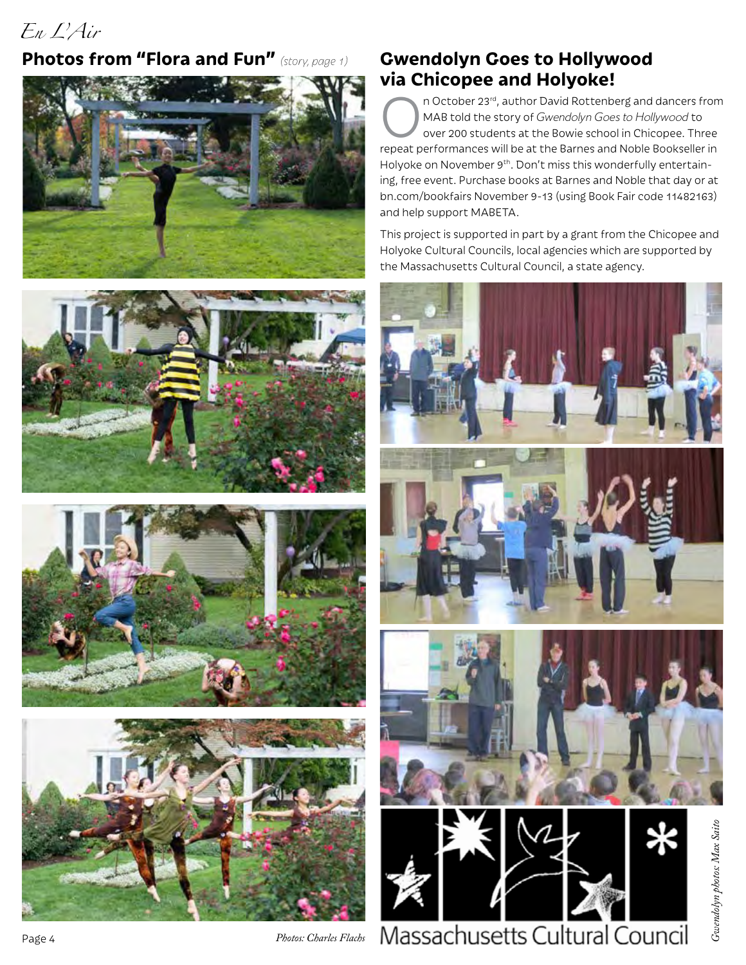# *En L'Air*

#### **Photos from "Flora and Fun"** *(story, page 1)*









## **Gwendolyn Goes to Hollywood via Chicopee and Holyoke!**

n October 23<sup>rd</sup>, author David Rottenberg and dancers from MAB told the story of *Gwendolyn Goes to Hollywood* to over 200 students at the Bowie school in Chicopee. Three repeat performances will be at the Barnes and Noble Bookseller in Holyoke on November 9<sup>th</sup>. Don't miss this wonderfully entertaining, free event. Purchase books at Barnes and Noble that day or at bn.com/bookfairs November 9-13 (using Book Fair code 11482163) and help support MABETA.

This project is supported in part by a grant from the Chicopee and Holyoke Cultural Councils, local agencies which are supported by the Massachusetts Cultural Council, a state agency.



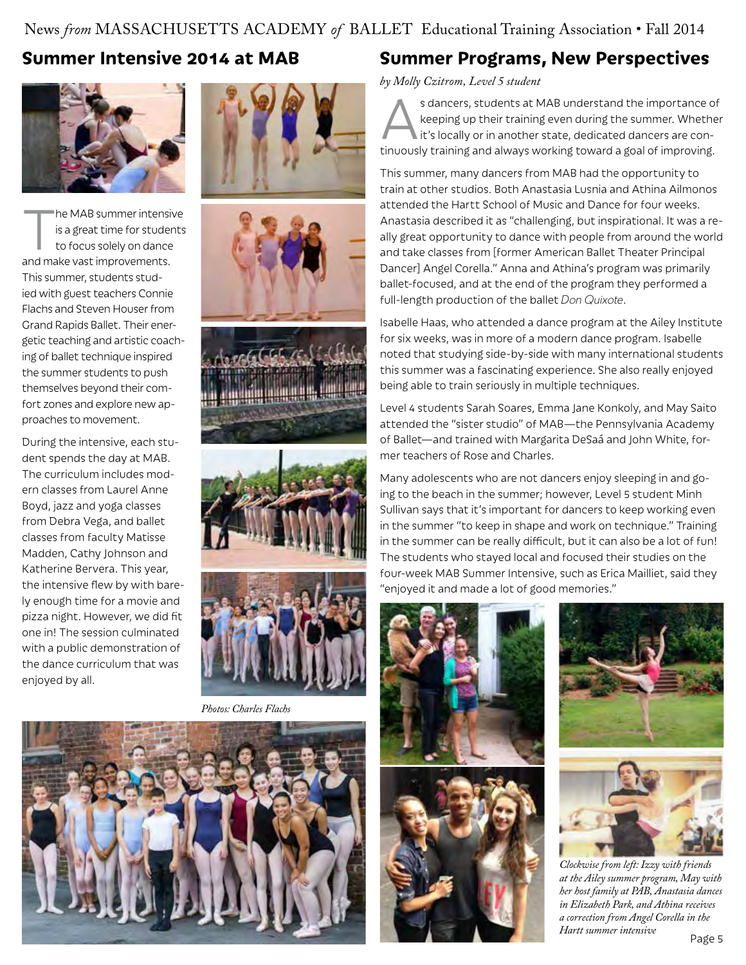#### News *from* MASSACHUSETTS ACADEMY *of* BALLET Educational Training Association • Fall 2014

## **Summer Intensive 2014 at MAB**



The MAB summer intensive<br>is a great time for students<br>to focus solely on dance is a great time for students to focus solely on dance and make vast improvements. This summer, students studied with guest teachers Connie Flachs and Steven Houser from Grand Rapids Ballet. Their energetic teaching and artistic coaching of ballet technique inspired the summer students to push themselves beyond their comfort zones and explore new approaches to movement.

During the intensive, each student spends the day at MAB. The curriculum includes modern classes from Laurel Anne Boyd, jazz and yoga classes from Debra Vega, and ballet classes from faculty Matisse Madden, Cathy Johnson and Katherine Bervera. This year, the intensive flew by with barely enough time for a movie and pizza night. However, we did fit one in! The session culminated with a public demonstration of the dance curriculum that was enjoyed by all.











*Photos: Charles Flachs*



## **Summer Programs, New Perspectives**

*by Molly Czitrom, Level 5 student* 

s dancers, students at MAB understand the importance of<br>keeping up their training even during the summer. Whether<br>it's locally or in another state, dedicated dancers are con-<br>tipuously training and always working toward a keeping up their training even during the summer. Whether it's locally or in another state, dedicated dancers are continuously training and always working toward a goal of improving.

This summer, many dancers from MAB had the opportunity to train at other studios. Both Anastasia Lusnia and Athina Ailmonos attended the Hartt School of Music and Dance for four weeks. Anastasia described it as "challenging, but inspirational. It was a really great opportunity to dance with people from around the world and take classes from [former American Ballet Theater Principal Dancer] Angel Corella." Anna and Athina's program was primarily ballet-focused, and at the end of the program they performed a full-length production of the ballet *Don Quixote*.

Isabelle Haas, who attended a dance program at the Ailey Institute for six weeks, was in more of a modern dance program. Isabelle noted that studying side-by-side with many international students this summer was a fascinating experience. She also really enjoyed being able to train seriously in multiple techniques.

Level 4 students Sarah Soares, Emma Jane Konkoly, and May Saito attended the "sister studio" of MAB—the Pennsylvania Academy of Ballet—and trained with Margarita DeSaá and John White, former teachers of Rose and Charles.

Many adolescents who are not dancers enjoy sleeping in and going to the beach in the summer; however, Level 5 student Minh Sullivan says that it's important for dancers to keep working even in the summer "to keep in shape and work on technique." Training in the summer can be really difficult, but it can also be a lot of fun! The students who stayed local and focused their studies on the four-week MAB Summer Intensive, such as Erica Mailliet, said they "enjoyed it and made a lot of good memories."









*Clockwise from left: Izzy with friends at the Ailey summer program, May with her host family at PAB, Anastasia dances in Elizabeth Park, and Athina receives a correction from Angel Corella in the Hartt summer intensive*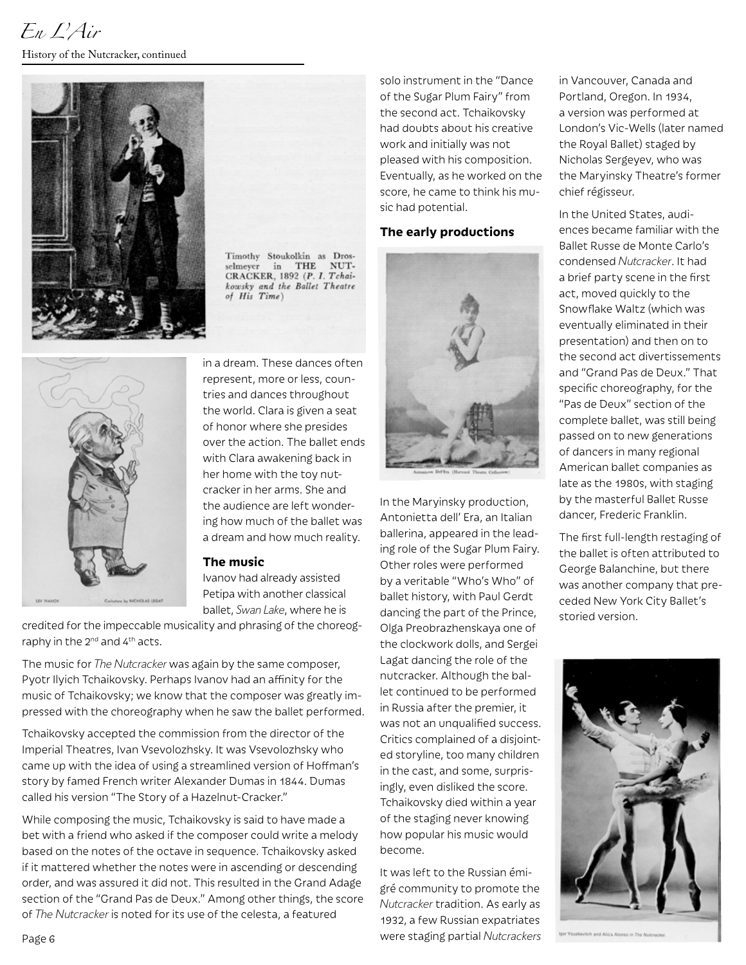

Timothy Stoukolkin as Drosin THE NUTselmeyer CRACKER, 1892 (P. I. Tchaikowsky and the Ballet Theatre<br>of His Time)



in a dream. These dances often represent, more or less, countries and dances throughout the world. Clara is given a seat of honor where she presides over the action. The ballet ends with Clara awakening back in her home with the toy nutcracker in her arms. She and the audience are left wondering how much of the ballet was a dream and how much reality.

#### **The music**

Ivanov had already assisted Petipa with another classical ballet, *Swan Lake*, where he is

credited for the impeccable musicality and phrasing of the choreography in the  $2^{nd}$  and  $4^{th}$  acts.

The music for *The Nutcracker* was again by the same composer, Pyotr Ilyich Tchaikovsky. Perhaps Ivanov had an affinity for the music of Tchaikovsky; we know that the composer was greatly impressed with the choreography when he saw the ballet performed.

Tchaikovsky accepted the commission from the director of the Imperial Theatres, Ivan Vsevolozhsky. It was Vsevolozhsky who came up with the idea of using a streamlined version of Hoffman's story by famed French writer Alexander Dumas in 1844. Dumas called his version "The Story of a Hazelnut-Cracker."

While composing the music, Tchaikovsky is said to have made a bet with a friend who asked if the composer could write a melody based on the notes of the octave in sequence. Tchaikovsky asked if it mattered whether the notes were in ascending or descending order, and was assured it did not. This resulted in the Grand Adage section of the "Grand Pas de Deux." Among other things, the score of *The Nutcracker* is noted for its use of the celesta, a featured

solo instrument in the "Dance of the Sugar Plum Fairy" from the second act. Tchaikovsky had doubts about his creative work and initially was not pleased with his composition. Eventually, as he worked on the score, he came to think his music had potential.

#### **The early productions**



In the Maryinsky production, Antonietta dell' Era, an Italian ballerina, appeared in the leading role of the Sugar Plum Fairy. Other roles were performed by a veritable "Who's Who" of ballet history, with Paul Gerdt dancing the part of the Prince, Olga Preobrazhenskaya one of the clockwork dolls, and Sergei Lagat dancing the role of the nutcracker. Although the ballet continued to be performed in Russia after the premier, it was not an unqualified success. Critics complained of a disjointed storyline, too many children in the cast, and some, surprisingly, even disliked the score. Tchaikovsky died within a year of the staging never knowing how popular his music would become.

It was left to the Russian émigré community to promote the *Nutcracker* tradition. As early as 1932, a few Russian expatriates were staging partial *Nutcrackers* in Vancouver, Canada and Portland, Oregon. In 1934, a version was performed at London's Vic-Wells (later named the Royal Ballet) staged by Nicholas Sergeyev, who was the Maryinsky Theatre's former chief régisseur.

In the United States, audiences became familiar with the Ballet Russe de Monte Carlo's condensed *Nutcracker*. It had a brief party scene in the first act, moved quickly to the Snowflake Waltz (which was eventually eliminated in their presentation) and then on to the second act divertissements and "Grand Pas de Deux." That specific choreography, for the "Pas de Deux" section of the complete ballet, was still being passed on to new generations of dancers in many regional American ballet companies as late as the 1980s, with staging by the masterful Ballet Russe dancer, Frederic Franklin.

The first full-length restaging of the ballet is often attributed to George Balanchine, but there was another company that preceded New York City Ballet's storied version.



Page 6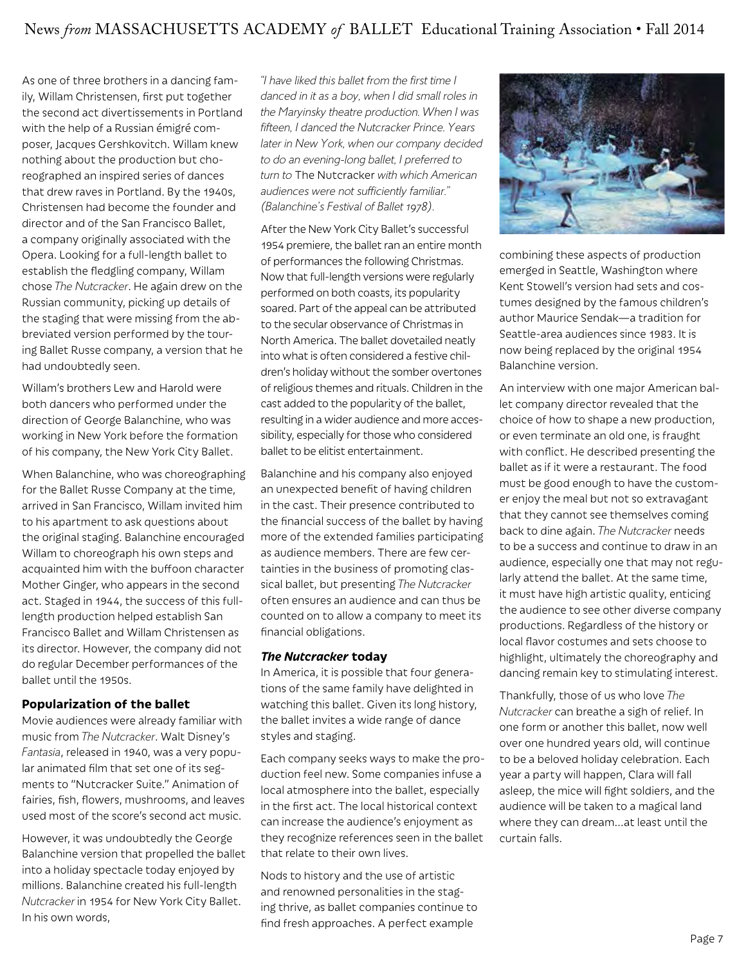As one of three brothers in a dancing family, Willam Christensen, first put together the second act divertissements in Portland with the help of a Russian émigré composer, Jacques Gershkovitch. Willam knew nothing about the production but choreographed an inspired series of dances that drew raves in Portland. By the 1940s, Christensen had become the founder and director and of the San Francisco Ballet, a company originally associated with the Opera. Looking for a full-length ballet to establish the fledgling company, Willam chose *The Nutcracker*. He again drew on the Russian community, picking up details of the staging that were missing from the abbreviated version performed by the touring Ballet Russe company, a version that he had undoubtedly seen.

Willam's brothers Lew and Harold were both dancers who performed under the direction of George Balanchine, who was working in New York before the formation of his company, the New York City Ballet.

When Balanchine, who was choreographing for the Ballet Russe Company at the time, arrived in San Francisco, Willam invited him to his apartment to ask questions about the original staging. Balanchine encouraged Willam to choreograph his own steps and acquainted him with the buffoon character Mother Ginger, who appears in the second act. Staged in 1944, the success of this fulllength production helped establish San Francisco Ballet and Willam Christensen as its director. However, the company did not do regular December performances of the ballet until the 1950s.

#### **Popularization of the ballet**

Movie audiences were already familiar with music from *The Nutcracker*. Walt Disney's *Fantasia*, released in 1940, was a very popular animated film that set one of its segments to "Nutcracker Suite." Animation of fairies, fish, flowers, mushrooms, and leaves used most of the score's second act music.

However, it was undoubtedly the George Balanchine version that propelled the ballet into a holiday spectacle today enjoyed by millions. Balanchine created his full-length *Nutcracker* in 1954 for New York City Ballet. In his own words,

*"I have liked this ballet from the first time I danced in it as a boy, when I did small roles in the Maryinsky theatre production. When I was fifteen, I danced the Nutcracker Prince. Years later in New York, when our company decided to do an evening-long ballet, I preferred to turn to* The Nutcracker *with which American audiences were not sufficiently familiar." (Balanchine's Festival of Ballet 1978).*

After the New York City Ballet's successful 1954 premiere, the ballet ran an entire month of performances the following Christmas. Now that full-length versions were regularly performed on both coasts, its popularity soared. Part of the appeal can be attributed to the secular observance of Christmas in North America. The ballet dovetailed neatly into what is often considered a festive children's holiday without the somber overtones of religious themes and rituals. Children in the cast added to the popularity of the ballet, resulting in a wider audience and more accessibility, especially for those who considered ballet to be elitist entertainment.

Balanchine and his company also enjoyed an unexpected benefit of having children in the cast. Their presence contributed to the financial success of the ballet by having more of the extended families participating as audience members. There are few certainties in the business of promoting classical ballet, but presenting *The Nutcracker* often ensures an audience and can thus be counted on to allow a company to meet its financial obligations.

#### *The Nutcracker* **today**

In America, it is possible that four generations of the same family have delighted in watching this ballet. Given its long history, the ballet invites a wide range of dance styles and staging.

Each company seeks ways to make the production feel new. Some companies infuse a local atmosphere into the ballet, especially in the first act. The local historical context can increase the audience's enjoyment as they recognize references seen in the ballet that relate to their own lives.

Nods to history and the use of artistic and renowned personalities in the staging thrive, as ballet companies continue to find fresh approaches. A perfect example



combining these aspects of production emerged in Seattle, Washington where Kent Stowell's version had sets and costumes designed by the famous children's author Maurice Sendak—a tradition for Seattle-area audiences since 1983. It is now being replaced by the original 1954 Balanchine version.

An interview with one major American ballet company director revealed that the choice of how to shape a new production, or even terminate an old one, is fraught with conflict. He described presenting the ballet as if it were a restaurant. The food must be good enough to have the customer enjoy the meal but not so extravagant that they cannot see themselves coming back to dine again. *The Nutcracker* needs to be a success and continue to draw in an audience, especially one that may not regularly attend the ballet. At the same time, it must have high artistic quality, enticing the audience to see other diverse company productions. Regardless of the history or local flavor costumes and sets choose to highlight, ultimately the choreography and dancing remain key to stimulating interest.

Thankfully, those of us who love *The Nutcracker* can breathe a sigh of relief. In one form or another this ballet, now well over one hundred years old, will continue to be a beloved holiday celebration. Each year a party will happen, Clara will fall asleep, the mice will fight soldiers, and the audience will be taken to a magical land where they can dream…at least until the curtain falls.